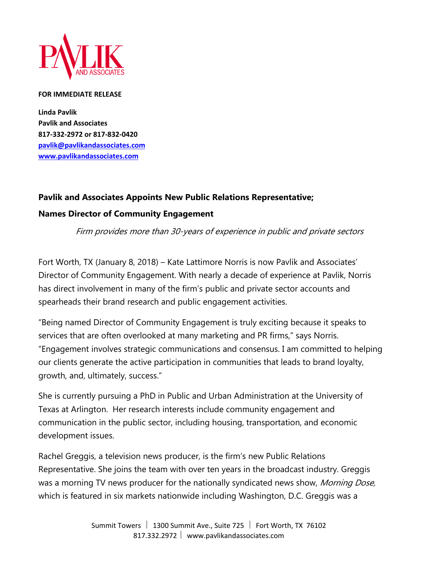

## **FOR IMMEDIATE RELEASE**

**Linda Pavlik Pavlik and Associates 817-332-2972 or 817-832-0420 pavlik@pavlikandassociates.com www.pavlikandassociates.com**

## **Pavlik and Associates Appoints New Public Relations Representative;**

## **Names Director of Community Engagement**

Firm provides more than 30-years of experience in public and private sectors

Fort Worth, TX (January 8, 2018) – Kate Lattimore Norris is now Pavlik and Associates' Director of Community Engagement. With nearly a decade of experience at Pavlik, Norris has direct involvement in many of the firm's public and private sector accounts and spearheads their brand research and public engagement activities.

"Being named Director of Community Engagement is truly exciting because it speaks to services that are often overlooked at many marketing and PR firms," says Norris. "Engagement involves strategic communications and consensus. I am committed to helping our clients generate the active participation in communities that leads to brand loyalty, growth, and, ultimately, success."

She is currently pursuing a PhD in Public and Urban Administration at the University of Texas at Arlington. Her research interests include community engagement and communication in the public sector, including housing, transportation, and economic development issues.

Rachel Greggis, a television news producer, is the firm's new Public Relations Representative. She joins the team with over ten years in the broadcast industry. Greggis was a morning TV news producer for the nationally syndicated news show, *Morning Dose*, which is featured in six markets nationwide including Washington, D.C. Greggis was a